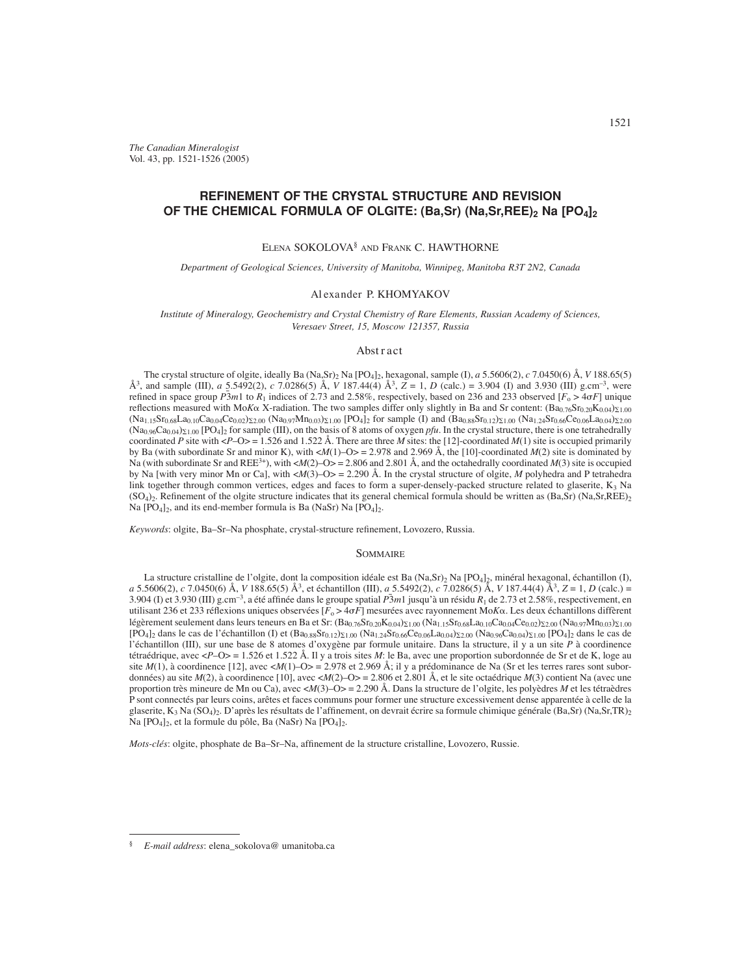*The Canadian Mineralogist* Vol. 43, pp. 1521-1526 (2005)

# **REFINEMENT OF THE CRYSTAL STRUCTURE AND REVISION OF THE CHEMICAL FORMULA OF OLGITE: (Ba,Sr) (Na,Sr,REE), Na [PO4]2**

### ELENA SOKOLOVA§ AND FRANK C. HAWTHORNE

*Department of Geological Sciences, University of Manitoba, Winnipeg, Manitoba R3T 2N2, Canada*

#### Al exander P. KHOMYAKOV

*Institute of Mineralogy, Geochemistry and Crystal Chemistry of Rare Elements, Russian Academy of Sciences, Veresaev Street, 15, Moscow 121357, Russia*

### Abst r act

The crystal structure of olgite, ideally Ba (Na,Sr)2 Na [PO4]2, hexagonal, sample (I), *a* 5.5606(2), *c* 7.0450(6) Å, *V* 188.65(5) Å<sup>3</sup>, and sample (III), *a* 5.5492(2), *c* 7.0286(5) Å, *V* 187.44(4) Å<sup>3</sup>,  $\overline{Z} = 1$ , *D* (calc.) = 3.904 (I) and 3.930 (III) g.cm<sup>-3</sup>, were refined in space group  $\overline{P}3m1$  to  $\overline{R}_1$  indices of 2.73 and 2.58%, respectively, based on 236 and 233 observed  $\overline{[F_0 > 4} \sigma F]$  unique reflections measured with Mo*K* $\alpha$  X-radiation. The two samples differ only slightly in Ba and Sr content:  $(Ba_{0.76}Sr_{0.20}K_{0.04})_{\Sigma1.00}$  $(Na_{1,15}Sr_{0.68}La_{0,10}Ca_{0.04}Ce_{0.02})\Sigma_{2.00} (Na_{0.97}Mn_{0.03})\Sigma_{1.00} [PO_4]_2$  for sample (I) and  $(Ba_{0.88}Sr_{0.12})\Sigma_{1.00} (Na_{1,24}Sr_{0.66}Ce_{0.06}La_{0.04})\Sigma_{2.00}$  $(Na_{0.96}Ca_{0.04})\Sigma_{1.00}$  [PO<sub>4</sub>]<sub>2</sub> for sample (III), on the basis of 8 atoms of oxygen *pfu*. In the crystal structure, there is one tetrahedrally coordinated *P* site with <*P*–O> = 1.526 and 1.522 Å. There are three *M* sites: the [12]-coordinated *M*(1) site is occupied primarily by Ba (with subordinate Sr and minor K), with <*M*(1)–O> = 2.978 and 2.969 Å, the [10]-coordinated *M*(2) site is dominated by Na (with subordinate Sr and REE<sup>3+</sup>), with <*M*(2)–O> = 2.806 and 2.801 Å, and the octahedrally coordinated *M*(3) site is occupied by Na [with very minor Mn or Ca], with <*M*(3)–O> = 2.290 Å. In the crystal structure of olgite, *M* polyhedra and P tetrahedra link together through common vertices, edges and faces to form a super-densely-packed structure related to glaserite,  $K_3$  Na  $(SO<sub>4</sub>)$ . Refinement of the olgite structure indicates that its general chemical formula should be written as  $(Ba,Sr)$  (Na,  $Sr,REE$ ) Na  $[PO_4]_2$ , and its end-member formula is Ba (NaSr) Na  $[PO_4]_2$ .

Keywords: olgite, Ba-Sr-Na phosphate, crystal-structure refinement, Lovozero, Russia.

#### **SOMMAIRE**

La structure cristalline de l'olgite, dont la composition idéale est Ba (Na,Sr)2 Na [PO4]2, minéral hexagonal, échantillon (I), *a* 5.5606(2), *c* 7.0450(6) Å, *V* 188.65(5) Å<sup>3</sup>, et échantillon (III), *a* 5.5492(2), *c* 7.0286(5) Å, *V* 187.44(4) Å<sup>3</sup>, *Z* = 1, *D* (calc.) = 3.904 (I) et 3.930 (III) g.cm–3, a été affi née dans le groupe spatial *P*¯ 3*m*1 jusqu'à un résidu *R*1 de 2.73 et 2.58%, respectivement, en utilisant 236 et 233 réflexions uniques observées [ $F_0 > 4\sigma F$ ] mesurées avec rayonnement Mo*K* $\alpha$ . Les deux échantillons diffèrent légèrement seulement dans leurs teneurs en Ba et Sr: (Ba<sub>0.76</sub>Sr<sub>0.20</sub>K<sub>0.04</sub>)<sub>21.00</sub> (Na<sub>1.15</sub>Sr<sub>0.68</sub>La<sub>0.10</sub>Ca<sub>0.04</sub>Ce<sub>0.02</sub>)<sub>22.00</sub> (Na<sub>0.97</sub>Mn<sub>0.03</sub>)<sub>21.00</sub>  $[PO_4]_2$  dans le cas de l'échantillon (I) et  $(Ba_{0.88}Sr_{0.12})_{\Sigma1.00}$  (Na<sub>1.24</sub>Sr<sub>0.66</sub>Ce<sub>0.06</sub>La<sub>0.04</sub>)<sub>2.00</sub> (Na<sub>0.96</sub>Ca<sub>0.04</sub>)<sub>2.1.00</sub> [PO<sub>4</sub>]<sub>2</sub> dans le cas de l'échantillon (III), sur une base de 8 atomes d'oxygène par formule unitaire. Dans la structure, il y a un site *P* à coordinence tétraédrique, avec <*P*–O> = 1.526 et 1.522 Å. Il y a trois sites *M*: le Ba, avec une proportion subordonnée de Sr et de K, loge au site *M*(1), à coordinence [12], avec <*M*(1)–O> = 2.978 et 2.969 Å; il y a prédominance de Na (Sr et les terres rares sont subordonnées) au site *M*(2), à coordinence [10], avec <*M*(2)–O> = 2.806 et 2.801 Å, et le site octaédrique *M*(3) contient Na (avec une proportion très mineure de Mn ou Ca), avec <*M*(3)–O> = 2.290 Å. Dans la structure de l'olgite, les polyèdres *M* et les tétraèdres P sont connectés par leurs coins, arêtes et faces communs pour former une structure excessivement dense apparentée à celle de la glaserite, K<sub>3</sub> Na (SO<sub>4</sub>)<sub>2</sub>. D'après les résultats de l'affinement, on devrait écrire sa formule chimique générale (Ba,Sr) (Na,Sr,TR)<sub>2</sub> Na  $[PO_4]_2$ , et la formule du pôle, Ba (NaSr) Na  $[PO_4]_2$ .

*Mots-clés*: olgite, phosphate de Ba-Sr-Na, affinement de la structure cristalline, Lovozero, Russie.

<sup>§</sup> *E-mail address*: elena\_sokolova@ umanitoba.ca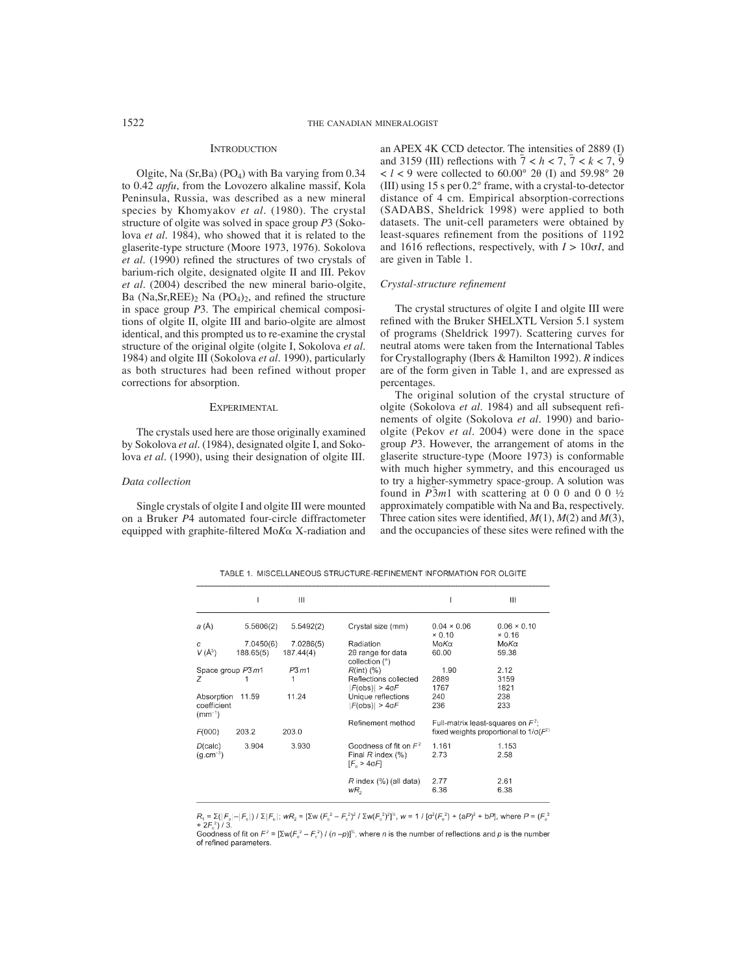#### **INTRODUCTION**

Olgite, Na  $(Sr, Ba)$  (PO<sub>4</sub>) with Ba varying from 0.34 to 0.42 *apfu*, from the Lovozero alkaline massif, Kola Peninsula, Russia, was described as a new mineral species by Khomyakov *et al*. (1980). The crystal structure of olgite was solved in space group *P*3 (Sokolova *et al*. 1984), who showed that it is related to the glaserite-type structure (Moore 1973, 1976). Sokolova *et al.* (1990) refined the structures of two crystals of barium-rich olgite, designated olgite II and III. Pekov *et al*. (2004) described the new mineral bario-olgite, Ba (Na,Sr,REE)<sub>2</sub> Na (PO<sub>4</sub>)<sub>2</sub>, and refined the structure in space group *P*3. The empirical chemical compositions of olgite II, olgite III and bario-olgite are almost identical, and this prompted us to re-examine the crystal structure of the original olgite (olgite I, Sokolova *et al*. 1984) and olgite III (Sokolova *et al*. 1990), particularly as both structures had been refined without proper corrections for absorption.

### **EXPERIMENTAL**

The crystals used here are those originally examined by Sokolova *et al.* (1984), designated olgite I, and Sokolova *et al.* (1990), using their designation of olgite III.

### *Data collection*

Single crystals of olgite I and olgite III were mounted on a Bruker *P*4 automated four-circle diffractometer equipped with graphite-filtered MoKa X-radiation and an APEX 4K CCD detector. The intensities of 2889 (I) and 3159 (III) reflections with  $\overline{7} < h < 7$ ,  $\overline{7} < k < 7$ ,  $\overline{9}$  $\langle l \rangle$  < 9 were collected to 60.00° 20 (I) and 59.98° 20 (III) using 15 s per 0.2° frame, with a crystal-to-detector distance of 4 cm. Empirical absorption-corrections (SADABS, Sheldrick 1998) were applied to both datasets. The unit-cell parameters were obtained by least-squares refinement from the positions of 1192 and 1616 reflections, respectively, with  $I > 10\sigma I$ , and are given in Table 1.

### *Crystal-structure refi nement*

The crystal structures of olgite I and olgite III were refined with the Bruker SHELXTL Version 5.1 system of programs (Sheldrick 1997). Scattering curves for neutral atoms were taken from the International Tables for Crystallography (Ibers & Hamilton 1992). *R* indices are of the form given in Table 1, and are expressed as percentages.

The original solution of the crystal structure of olgite (Sokolova et al. 1984) and all subsequent refinements of olgite (Sokolova *et al*. 1990) and barioolgite (Pekov *et al*. 2004) were done in the space group *P*3. However, the arrangement of atoms in the glaserite structure-type (Moore 1973) is conformable with much higher symmetry, and this encouraged us to try a higher-symmetry space-group. A solution was found in  $\overline{P}3m1$  with scattering at 0 0 0 and 0 0 ½ approximately compatible with Na and Ba, respectively. Three cation sites were identified,  $M(1)$ ,  $M(2)$  and  $M(3)$ , and the occupancies of these sites were refined with the

TABLE 1. MISCELLANEOUS STRUCTURE-REFINEMENT INFORMATION FOR OLGITE

|                                          |                        | Ш                      |                                                                              |                                      | $\mathbf{  }$                                 |
|------------------------------------------|------------------------|------------------------|------------------------------------------------------------------------------|--------------------------------------|-----------------------------------------------|
| a(A)                                     | 5.5606(2)              | 5.5492(2)              | Crystal size (mm)                                                            | $0.04 \times 0.06$<br>$\times 0.10$  | $0.06 \times 0.10$<br>×0.16                   |
| C<br>$V(A^3)$                            | 7.0450(6)<br>188.65(5) | 7.0286(5)<br>187.44(4) | Radiation<br>20 range for data<br>collection (°)                             | ΜοΚα<br>60.00                        | ΜοΚα<br>59.38                                 |
| Space group $P\overline{3}m1$<br>7       |                        | $P\overline{3}m1$      | $R(int)$ $(\%)$<br>Reflections collected<br>$F(obs)$ > 4 $\sigma$ F          | 1.90<br>2889<br>1767                 | 2.12<br>3159<br>1821                          |
| Absorption<br>coefficient<br>$(mm^{-1})$ | 11.59                  | 11.24                  | Unique reflections<br>$F(obs)$ > 4 $\sigma$ F                                | 240<br>236                           | 238<br>233                                    |
| F(000)                                   | 203.2                  | 203.0                  | Refinement method                                                            | Full-matrix least-squares on $F^2$ ; | fixed weights proportional to $1/\sigma(F^2)$ |
| D(calc)<br>$(q.cm^{-3})$                 | 3.904                  | 3.930                  | Goodness of fit on $F^2$<br>Final $R$ index $(\%)$<br>$[F_{0} > 4 \sigma F]$ | 1.161<br>2.73                        | 1.153<br>2.58                                 |
|                                          |                        |                        | $R$ index $(\% )$ (all data)<br>wR,                                          | 2.77<br>6.36                         | 2.61<br>6.38                                  |

 $R_1 = \sum (|F_{\circ}| - |F_{\circ}|)/\sum |F_{\circ}|$ ;  $wR_2 = [\sum w (F_{\circ}^2 - F_{\circ}^2)^2 / \sum w (F_{\circ}^2)^2]^{\times}$ ,  $w = 1 / [\sigma^2 (F_{\circ}^2) + (aP)^2 + bP]$ , where  $P = (F_{\circ}^2 - F_{\circ}^2)^2 / \sum w (F_{\circ}^2)^2$  $+2F^{2}/3$ .

Goodness of fit on  $F^2 = [\Sigma w (F_0^2 - F_c^2) / (n-p)]^8$ , where *n* is the number of reflections and *p* is the number of refined parameters.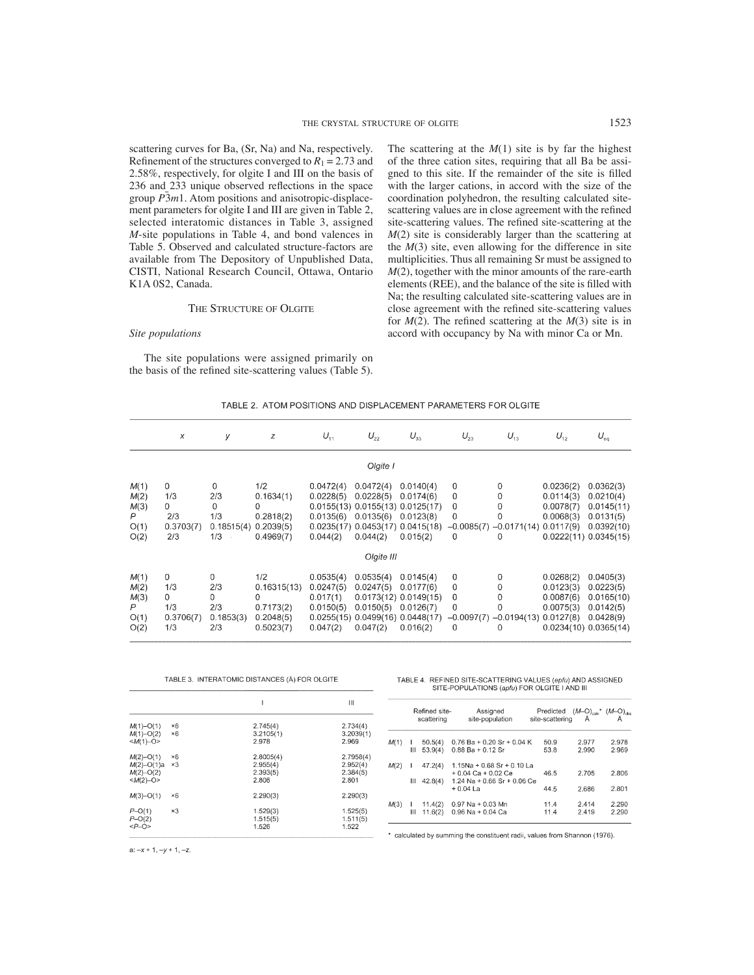scattering curves for Ba, (Sr, Na) and Na, respectively. Refinement of the structures converged to  $R_1 = 2.73$  and 2.58%, respectively, for olgite I and III on the basis of 236 and 233 unique observed reflections in the space group *P*¯ 3*m*1. Atom positions and anisotropic-displacement parameters for olgite I and III are given in Table 2, selected interatomic distances in Table 3, assigned *M*-site populations in Table 4, and bond valences in Table 5. Observed and calculated structure-factors are available from The Depository of Unpublished Data, CISTI, National Research Council, Ottawa, Ontario K1A 0S2, Canada.

#### THE STRUCTURE OF OLGITE

#### *Site populations*

The site populations were assigned primarily on the basis of the refined site-scattering values (Table 5). The scattering at the  $M(1)$  site is by far the highest of the three cation sites, requiring that all Ba be assigned to this site. If the remainder of the site is filled with the larger cations, in accord with the size of the coordination polyhedron, the resulting calculated sitescattering values are in close agreement with the refined site-scattering values. The refined site-scattering at the *M*(2) site is considerably larger than the scattering at the  $M(3)$  site, even allowing for the difference in site multiplicities. Thus all remaining Sr must be assigned to *M*(2), together with the minor amounts of the rare-earth elements (REE), and the balance of the site is filled with Na; the resulting calculated site-scattering values are in close agreement with the refined site-scattering values for  $M(2)$ . The refined scattering at the  $M(3)$  site is in accord with occupancy by Na with minor Ca or Mn.

#### TABLE 2. ATOM POSITIONS AND DISPLACEMENT PARAMETERS FOR OLGITE

|                                           | х                                                  | У                                                | z                                                              | $U_{11}$                                                      | $U_{22}$                                                                                   | $U_{33}$                                                                                                         | $U_{23}$              | $U_{13}$                                                           | $U_{12}$                                         | $U_{eq}$                                                                                     |
|-------------------------------------------|----------------------------------------------------|--------------------------------------------------|----------------------------------------------------------------|---------------------------------------------------------------|--------------------------------------------------------------------------------------------|------------------------------------------------------------------------------------------------------------------|-----------------------|--------------------------------------------------------------------|--------------------------------------------------|----------------------------------------------------------------------------------------------|
|                                           |                                                    |                                                  |                                                                |                                                               | Olgite I                                                                                   |                                                                                                                  |                       |                                                                    |                                                  |                                                                                              |
| M(1)<br>M(2)<br>M(3)<br>P<br>O(1)<br>O(2) | $\mathbf 0$<br>1/3<br>0<br>2/3<br>0.3703(7)<br>2/3 | $\Omega$<br>2/3<br>0<br>1/3<br>0.18515(4)<br>1/3 | 1/2<br>0.1634(1)<br>0<br>0.2818(2)<br>0.2039(5)<br>0.4969(7)   | 0.0472(4)<br>0.0228(5)<br>$0.0135(6)$ $0.0135(6)$<br>0.044(2) | 0.0472(4)<br>0.0228(5)<br>$0.0155(13)$ $0.0155(13)$ $0.0125(17)$<br>0.044(2)<br>Olgite III | 0.0140(4)<br>0.0174(6)<br>0.0123(8)<br>$0.0235(17)$ $0.0453(17)$ $0.0415(18)$<br>0.015(2)                        | 0<br>0<br>0<br>0<br>0 | $\Omega$<br>0<br>0<br>0<br>$-0.0085(7) -0.0171(14) 0.0117(9)$<br>0 | 0.0236(2)<br>0.0114(3)<br>0.0078(7)<br>0.0068(3) | 0.0362(3)<br>0.0210(4)<br>0.0145(11)<br>0.0131(5)<br>0.0392(10)<br>$0.0222(11)$ $0.0345(15)$ |
| M(1)<br>M(2)<br>M(3)<br>P<br>O(1)<br>O(2) | 0<br>1/3<br>0<br>1/3<br>0.3706(7)<br>1/3           | 0<br>2/3<br>0<br>2/3<br>0.1853(3)<br>2/3         | 1/2<br>0.16315(13)<br>0<br>0.7173(2)<br>0.2048(5)<br>0.5023(7) | 0.0535(4)<br>0.0247(5)<br>0.017(1)<br>0.0150(5)<br>0.047(2)   | 0.0535(4)<br>0.0247(5)<br>0.0150(5)<br>0.047(2)                                            | 0.0145(4)<br>0.0177(6)<br>$0.0173(12)$ $0.0149(15)$<br>0.0126(7)<br>0.0255(15) 0.0499(16) 0.0448(17)<br>0.016(2) | 0<br>0<br>0<br>0<br>0 | 0<br>0<br>0<br>0<br>$-0.0097(7) -0.0194(13) 0.0127(8)$<br>0        | 0.0268(2)<br>0.0123(3)<br>0.0087(6)<br>0.0075(3) | 0.0405(3)<br>0.0223(5)<br>0.0165(10)<br>0.0142(5)<br>0.0428(9)<br>$0.0234(10)$ $0.0365(14)$  |

 $1.511(5)$ 

1.522

|                                                   |                          | TABLE 3. INTERATOMIC DISTANCES (Å) FOR OLGITE |                                            |
|---------------------------------------------------|--------------------------|-----------------------------------------------|--------------------------------------------|
|                                                   |                          |                                               | Ш                                          |
| $M(1) - O(1)$<br>$M(1) - O(2)$<br>$$              | ×6<br>×6                 | 2.745(4)<br>3.2105(1)<br>2.978                | 2.734(4)<br>3.2039(1)<br>2.969             |
| $M(2) - O(1)$<br>M(2)–O(1)a<br>$M(2)$ -O(2)<br>$$ | $\times 6$<br>$\times$ 3 | 2.8005(4)<br>2.955(4)<br>2.393(5)<br>2.806    | 2.7958(4)<br>2.952(4)<br>2.384(5)<br>2.801 |
| $M(3) - O(1)$                                     | ×6                       | 2.290(3)                                      | 2.290(3)                                   |
| $D$ $\bigcap$ $\bigcap$                           | $\sim$ $\circ$           | 1.500(2)                                      | 1.595(E)                                   |

 $1.515(5)$ 1.526

#### TABLE 4. REFINED SITE-SCATTERING VALUES (epfu) AND ASSIGNED SITE-POPULATIONS (apfu) FOR OLGITE I AND III

|      |   | Refined site-<br>scattering | Assigned<br>site-population                                                             | $\begin{array}{ccc} \mathrm{Predicted} & (\mathit{M}-\mathrm{Q})_{\mathrm{calc}}{}^{\star} & (\mathit{M}-\mathrm{Q})_{\mathrm{obs}} \\ \star & \mathrm{A} & \end{array}$<br>site-scattering |                |                |
|------|---|-----------------------------|-----------------------------------------------------------------------------------------|---------------------------------------------------------------------------------------------------------------------------------------------------------------------------------------------|----------------|----------------|
| M(1) | Ш | 50.5(4)<br>53.9(4)          | $0.76 Ba + 0.20 Sr + 0.04 K$<br>$0.88$ Ba + $0.12$ Sr                                   | 50.9<br>53.8                                                                                                                                                                                | 2.977<br>2.990 | 2.978<br>2.969 |
| M(2) | Ш | 47.2(4)<br>42.8(4)          | $1.15$ Na + 0.68 Sr + 0.10 La<br>$+0.04$ Ca $+0.02$ Ce<br>$1.24$ Na + 0.66 Sr + 0.06 Ce | 46.5                                                                                                                                                                                        | 2.705          | 2.806          |
|      |   |                             | $+0.04$ La                                                                              | 44.5                                                                                                                                                                                        | 2.686          | 2.801          |
| M(3) | Ш | 11.4(2)<br>11.6(2)          | $0.97$ Na + 0.03 Mn<br>$0.96$ Na + 0.04 Ca                                              | 11.4<br>11.4                                                                                                                                                                                | 2.414<br>2.419 | 2.290<br>2.290 |

calculated by summing the constituent radii, values from Shannon (1976).

 $a: -x + 1, -y + 1, -z.$ 

 $P-O(2)$ <br>< $P-O(2)$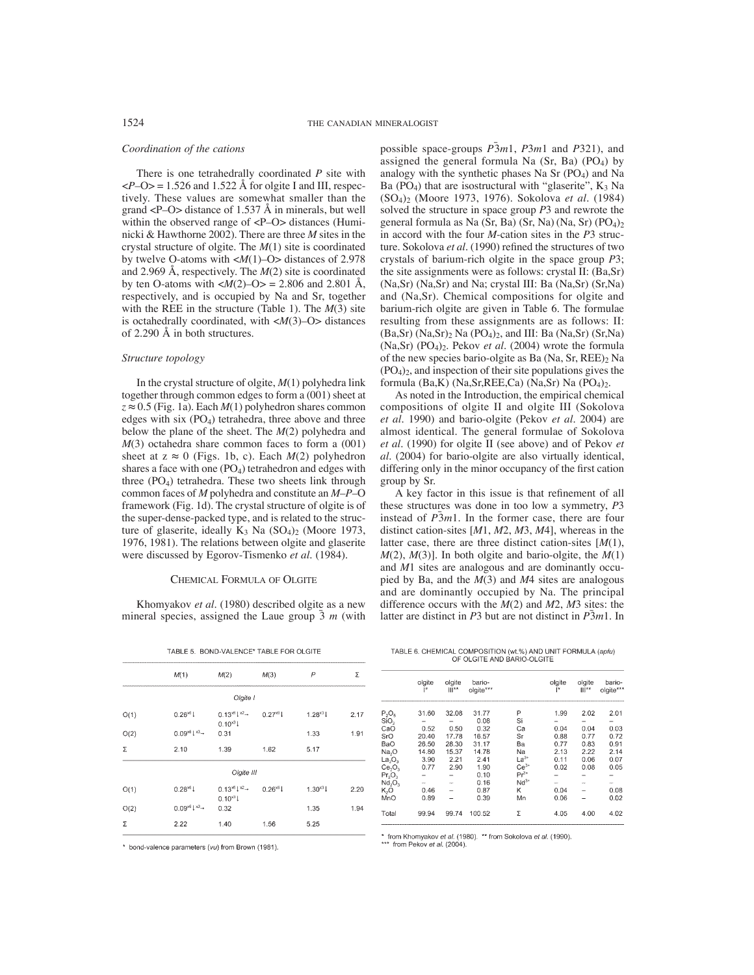### *Coordination of the cations*

There is one tetrahedrally coordinated *P* site with  $\langle P-O \rangle$  = 1.526 and 1.522 Å for olgite I and III, respectively. These values are somewhat smaller than the grand <P–O> distance of 1.537 Å in minerals, but well within the observed range of <P–O> distances (Huminicki & Hawthorne 2002). There are three *M* sites in the crystal structure of olgite. The *M*(1) site is coordinated by twelve O-atoms with <*M*(1)–O> distances of 2.978 and 2.969 Å, respectively. The *M*(2) site is coordinated by ten O-atoms with  $\langle M(2)-O \rangle = 2.806$  and 2.801 Å, respectively, and is occupied by Na and Sr, together with the REE in the structure (Table 1). The *M*(3) site is octahedrally coordinated, with <*M*(3)–O> distances of 2.290 Å in both structures.

## *Structure topology*

In the crystal structure of olgite, *M*(1) polyhedra link together through common edges to form a (001) sheet at  $z \approx 0.5$  (Fig. 1a). Each  $M(1)$  polyhedron shares common edges with six  $(PO<sub>4</sub>)$  tetrahedra, three above and three below the plane of the sheet. The *M*(2) polyhedra and *M*(3) octahedra share common faces to form a (001) sheet at  $z \approx 0$  (Figs. 1b, c). Each  $M(2)$  polyhedron shares a face with one  $(PO<sub>4</sub>)$  tetrahedron and edges with three (PO4) tetrahedra. These two sheets link through common faces of *M* polyhedra and constitute an *M*–*P*–O framework (Fig. 1d). The crystal structure of olgite is of the super-dense-packed type, and is related to the structure of glaserite, ideally  $K_3$  Na  $(SO_4)_2$  (Moore 1973, 1976, 1981). The relations between olgite and glaserite were discussed by Egorov-Tismenko *et al*. (1984).

#### CHEMICAL FORMULA OF OLGITE

Khomyakov *et al*. (1980) described olgite as a new mineral species, assigned the Laue group  $\bar{3}$  *m* (with

|      | M(1)                            | M(2)                                                           | M(3)         | P            | Σ    |
|------|---------------------------------|----------------------------------------------------------------|--------------|--------------|------|
|      |                                 | Olgite I                                                       |              |              |      |
| O(1) | $0.26^{*6}1$                    | $0.13^{x6}$ $1^{x2}$ $-$<br>$0.10^{*3}$                        | $0.27^{x6}1$ | $1.28^{*3}1$ | 2.17 |
| O(2) | $0.09^{x6}1^{x3} +$             | 0.31                                                           |              | 1.33         | 1.91 |
| Σ    | 2.10                            | 1.39                                                           | 1.62         | 5.17         |      |
|      |                                 | Olgite III                                                     |              |              |      |
| O(1) | $0.28^{*6}1$                    | $0.13^{x6}$ $\downarrow$ $\times$ $\rightarrow$<br>$0.10^{x3}$ | $0.26^{x6}1$ | $1.30^{x3}$  | 2.20 |
| O(2) | $0.09^{x6}$ $\downarrow$ $x3 -$ | 0.32                                                           |              | 1.35         | 1.94 |
| Σ    | 2.22                            | 1.40                                                           | 1.56         | 5.25         |      |

TABLE 5. BOND-VALENCE\* TABLE FOR OLGITE

\* bond-valence parameters (vu) from Brown (1981).

possible space-groups *P*¯ 3*m*1, *P*3*m*1 and *P*321), and assigned the general formula Na  $(Sr, Ba)$  (PO<sub>4</sub>) by analogy with the synthetic phases Na Sr (PO<sub>4</sub>) and Na Ba (PO<sub>4</sub>) that are isostructural with "glaserite",  $K_3$  Na (SO4)2 (Moore 1973, 1976). Sokolova *et al.* (1984) solved the structure in space group *P*3 and rewrote the general formula as Na (Sr, Ba) (Sr, Na) (Na, Sr) (PO4)2 in accord with the four *M*-cation sites in the *P*3 structure. Sokolova *et al.* (1990) refined the structures of two crystals of barium-rich olgite in the space group *P*3; the site assignments were as follows: crystal II: (Ba,Sr) (Na,Sr) (Na,Sr) and Na; crystal III: Ba (Na,Sr) (Sr,Na) and (Na,Sr). Chemical compositions for olgite and barium-rich olgite are given in Table 6. The formulae resulting from these assignments are as follows: II:  $(Ba, Sr)$  (Na,Sr)<sub>2</sub> Na  $(PO<sub>4</sub>)<sub>2</sub>$ , and III: Ba (Na,Sr) (Sr,Na) (Na,Sr) (PO4)2. Pekov *et al*. (2004) wrote the formula of the new species bario-olgite as Ba (Na, Sr, REE)2 Na  $(PO<sub>4</sub>)<sub>2</sub>$ , and inspection of their site populations gives the formula (Ba,K) (Na,Sr,REE,Ca) (Na,Sr) Na  $(PO<sub>4</sub>)<sub>2</sub>$ .

As noted in the Introduction, the empirical chemical compositions of olgite II and olgite III (Sokolova *et al.* 1990) and bario-olgite (Pekov *et al*. 2004) are almost identical. The general formulae of Sokolova *et al.* (1990) for olgite II (see above) and of Pekov *et al*. (2004) for bario-olgite are also virtually identical, differing only in the minor occupancy of the first cation group by Sr.

A key factor in this issue is that refinement of all these structures was done in too low a symmetry, *P*3 instead of  $\overline{P}3m1$ . In the former case, there are four distinct cation-sites [*M*1, *M*2, *M*3, *M*4], whereas in the latter case, there are three distinct cation-sites [*M*(1), *M*(2), *M*(3)]. In both olgite and bario-olgite, the *M*(1) and *M*1 sites are analogous and are dominantly occupied by Ba, and the *M*(3) and *M*4 sites are analogous and are dominantly occupied by Na. The principal difference occurs with the *M*(2) and *M*2, *M*3 sites: the latter are distinct in *P*3 but are not distinct in *P*¯ 3*m*1. In

TABLE 6. CHEMICAL COMPOSITION (wt.%) AND UNIT FORMULA (apfu) OF OLGITE AND BARIO-OLGITE

|                                | olgite<br>۲ | olgite<br>   ** | bario-<br>olgite*** |           | olgite<br>I* | olgite<br>$   ^{**}$ | bario-<br>olgite*** |
|--------------------------------|-------------|-----------------|---------------------|-----------|--------------|----------------------|---------------------|
| $P_2O_5$                       | 31.60       | 32.08           | 31.77               | P         | 1.99         | 2.02                 | 2.01                |
| SiO <sub>2</sub>               |             |                 | 0.08                | Si        |              |                      |                     |
| CaO                            | 0.52        | 0.50            | 0.32                | Ca        | 0.04         | 0.04                 | 0.03                |
| SrO                            | 20.40       | 17.78           | 16.57               | Sr        | 0.88         | 0.77                 | 0.72                |
| BaO                            | 26.50       | 28.30           | 31.17               | Вa        | 0.77         | 0.83                 | 0.91                |
| Na <sub>2</sub> O              | 14.80       | 15.37           | 14.78               | Na        | 2.13         | 2.22                 | 2.14                |
| La <sub>2</sub> O <sub>3</sub> | 3.90        | 2.21            | 2.41                | $La^{3*}$ | 0.11         | 0.06                 | 0.07                |
| Ce <sub>2</sub> O <sub>3</sub> | 0.77        | 2.90            | 1.90                | $Ce^{3+}$ | 0.02         | 0.08                 | 0.05                |
| $Pr_2O_3$                      |             |                 | 0.10                | $Pr^{3+}$ |              |                      |                     |
| Nd, O,                         |             |                 | 0.16                | $Nd^{3*}$ |              |                      |                     |
| K,O                            | 0.46        |                 | 0.87                | Κ         | 0.04         |                      | 0.08                |
| MnO                            | 0.89        |                 | 0.39                | Mn        | 0.06         |                      | 0.02                |
| Total                          | 99.94       | 99.74           | 100.52              | Σ         | 4.05         | 4.00                 | 4.02                |

from Khomyakov et al. (1980). \*\* from Sokolova et al. (1990). \*\*\* from Pekov et al. (2004)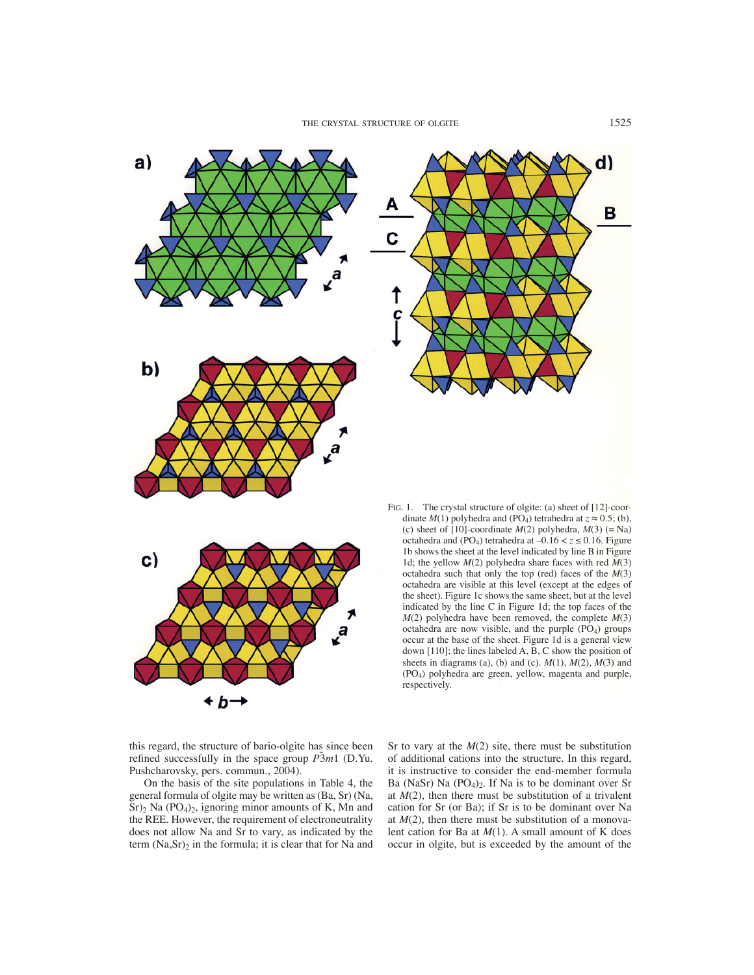



FIG. 1. The crystal structure of olgite: (a) sheet of [12]-coordinate  $M(1)$  polyhedra and (PO<sub>4</sub>) tetrahedra at  $z \approx 0.5$ ; (b), (c) sheet of  $[10]$ -coordinate  $M(2)$  polyhedra,  $M(3)$  (= Na) octahedra and (PO<sub>4</sub>) tetrahedra at  $-0.16 < z \le 0.16$ . Figure 1b shows the sheet at the level indicated by line B in Figure 1d; the yellow *M*(2) polyhedra share faces with red *M*(3) octahedra such that only the top (red) faces of the *M*(3) octahedra are visible at this level (except at the edges of the sheet). Figure 1c shows the same sheet, but at the level indicated by the line C in Figure 1d; the top faces of the  $M(2)$  polyhedra have been removed, the complete  $M(3)$ octahedra are now visible, and the purple  $(PO<sub>4</sub>)$  groups occur at the base of the sheet. Figure 1d is a general view down [110]; the lines labeled A, B, C show the position of sheets in diagrams (a), (b) and (c). *M*(1), *M*(2), *M*(3) and (PO4) polyhedra are green, yellow, magenta and purple, respectively.

this regard, the structure of bario-olgite has since been refined successfully in the space group  $\overline{P3}m1$  (D.Yu. Pushcharovsky, pers. commun., 2004).

On the basis of the site populations in Table 4, the general formula of olgite may be written as (Ba, Sr) (Na,  $Sr)$ <sub>2</sub> Na (PO<sub>4</sub>)<sub>2</sub>, ignoring minor amounts of K, Mn and the REE. However, the requirement of electroneutrality does not allow Na and Sr to vary, as indicated by the term  $(Na, Sr)_2$  in the formula; it is clear that for Na and Sr to vary at the  $M(2)$  site, there must be substitution of additional cations into the structure. In this regard, it is instructive to consider the end-member formula Ba (NaSr) Na  $(PO<sub>4</sub>)<sub>2</sub>$ . If Na is to be dominant over Sr at  $M(2)$ , then there must be substitution of a trivalent cation for Sr (or Ba); if Sr is to be dominant over Na at  $M(2)$ , then there must be substitution of a monovalent cation for Ba at *M*(1). A small amount of K does occur in olgite, but is exceeded by the amount of the